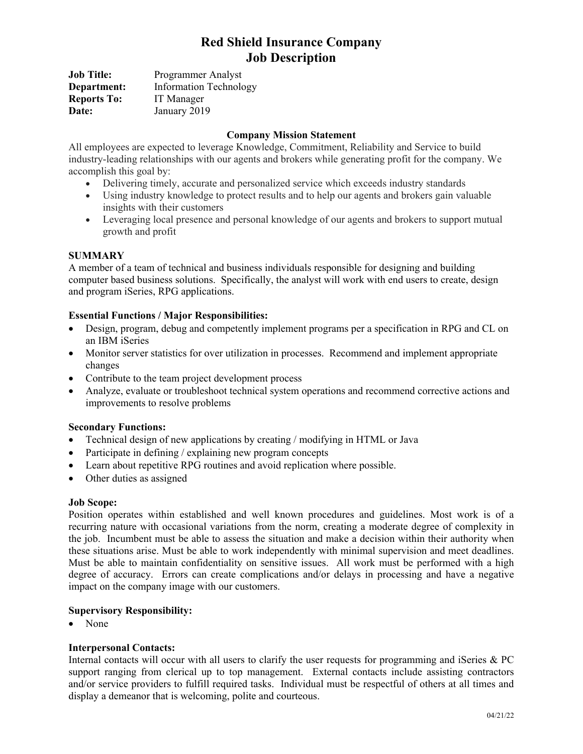# **Red Shield Insurance Company Job Description**

| <b>Job Title:</b>  | Programmer Analyst            |
|--------------------|-------------------------------|
| Department:        | <b>Information Technology</b> |
| <b>Reports To:</b> | IT Manager                    |
| Date:              | January 2019                  |

## **Company Mission Statement**

All employees are expected to leverage Knowledge, Commitment, Reliability and Service to build industry-leading relationships with our agents and brokers while generating profit for the company. We accomplish this goal by:

- Delivering timely, accurate and personalized service which exceeds industry standards
- Using industry knowledge to protect results and to help our agents and brokers gain valuable insights with their customers
- Leveraging local presence and personal knowledge of our agents and brokers to support mutual growth and profit

## **SUMMARY**

A member of a team of technical and business individuals responsible for designing and building computer based business solutions. Specifically, the analyst will work with end users to create, design and program iSeries, RPG applications.

## **Essential Functions / Major Responsibilities:**

- Design, program, debug and competently implement programs per a specification in RPG and CL on an IBM iSeries
- Monitor server statistics for over utilization in processes. Recommend and implement appropriate changes
- Contribute to the team project development process
- Analyze, evaluate or troubleshoot technical system operations and recommend corrective actions and improvements to resolve problems

#### **Secondary Functions:**

- Technical design of new applications by creating / modifying in HTML or Java
- Participate in defining / explaining new program concepts
- Learn about repetitive RPG routines and avoid replication where possible.
- Other duties as assigned

#### **Job Scope:**

Position operates within established and well known procedures and guidelines. Most work is of a recurring nature with occasional variations from the norm, creating a moderate degree of complexity in the job. Incumbent must be able to assess the situation and make a decision within their authority when these situations arise. Must be able to work independently with minimal supervision and meet deadlines. Must be able to maintain confidentiality on sensitive issues. All work must be performed with a high degree of accuracy. Errors can create complications and/or delays in processing and have a negative impact on the company image with our customers.

#### **Supervisory Responsibility:**

• None

#### **Interpersonal Contacts:**

Internal contacts will occur with all users to clarify the user requests for programming and iSeries & PC support ranging from clerical up to top management. External contacts include assisting contractors and/or service providers to fulfill required tasks. Individual must be respectful of others at all times and display a demeanor that is welcoming, polite and courteous.